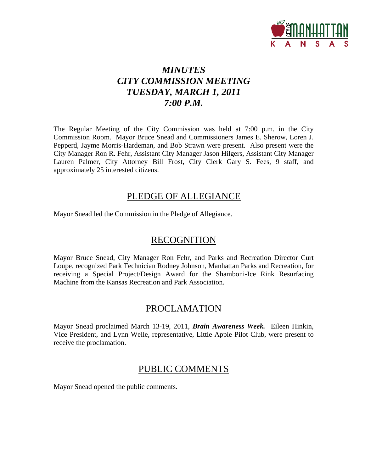

# *MINUTES CITY COMMISSION MEETING TUESDAY, MARCH 1, 2011 7:00 P.M.*

The Regular Meeting of the City Commission was held at 7:00 p.m. in the City Commission Room. Mayor Bruce Snead and Commissioners James E. Sherow, Loren J. Pepperd, Jayme Morris-Hardeman, and Bob Strawn were present. Also present were the City Manager Ron R. Fehr, Assistant City Manager Jason Hilgers, Assistant City Manager Lauren Palmer, City Attorney Bill Frost, City Clerk Gary S. Fees, 9 staff, and approximately 25 interested citizens.

### PLEDGE OF ALLEGIANCE

Mayor Snead led the Commission in the Pledge of Allegiance.

### **RECOGNITION**

Mayor Bruce Snead, City Manager Ron Fehr, and Parks and Recreation Director Curt Loupe, recognized Park Technician Rodney Johnson, Manhattan Parks and Recreation, for receiving a Special Project/Design Award for the Shamboni-Ice Rink Resurfacing Machine from the Kansas Recreation and Park Association.

### PROCLAMATION

Mayor Snead proclaimed March 13-19, 2011, *Brain Awareness Week.* Eileen Hinkin, Vice President, and Lynn Welle, representative, Little Apple Pilot Club, were present to receive the proclamation.

### PUBLIC COMMENTS

Mayor Snead opened the public comments.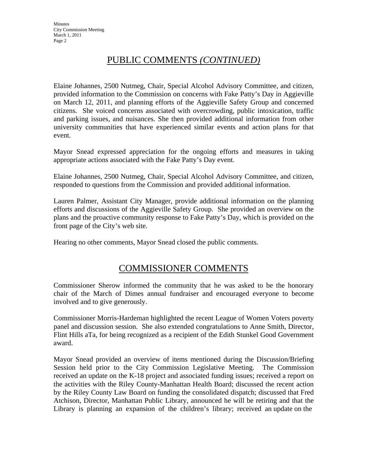# PUBLIC COMMENTS *(CONTINUED)*

Elaine Johannes, 2500 Nutmeg, Chair, Special Alcohol Advisory Committee, and citizen, provided information to the Commission on concerns with Fake Patty's Day in Aggieville on March 12, 2011, and planning efforts of the Aggieville Safety Group and concerned citizens. She voiced concerns associated with overcrowding, public intoxication, traffic and parking issues, and nuisances. She then provided additional information from other university communities that have experienced similar events and action plans for that event.

Mayor Snead expressed appreciation for the ongoing efforts and measures in taking appropriate actions associated with the Fake Patty's Day event.

Elaine Johannes, 2500 Nutmeg, Chair, Special Alcohol Advisory Committee, and citizen, responded to questions from the Commission and provided additional information.

Lauren Palmer, Assistant City Manager, provide additional information on the planning efforts and discussions of the Aggieville Safety Group. She provided an overview on the plans and the proactive community response to Fake Patty's Day, which is provided on the front page of the City's web site.

Hearing no other comments, Mayor Snead closed the public comments.

### COMMISSIONER COMMENTS

Commissioner Sherow informed the community that he was asked to be the honorary chair of the March of Dimes annual fundraiser and encouraged everyone to become involved and to give generously.

Commissioner Morris-Hardeman highlighted the recent League of Women Voters poverty panel and discussion session. She also extended congratulations to Anne Smith, Director, Flint Hills aTa, for being recognized as a recipient of the Edith Stunkel Good Government award.

Mayor Snead provided an overview of items mentioned during the Discussion/Briefing Session held prior to the City Commission Legislative Meeting. The Commission received an update on the K-18 project and associated funding issues; received a report on the activities with the Riley County-Manhattan Health Board; discussed the recent action by the Riley County Law Board on funding the consolidated dispatch; discussed that Fred Atchison, Director, Manhattan Public Library, announced he will be retiring and that the Library is planning an expansion of the children's library; received an update on the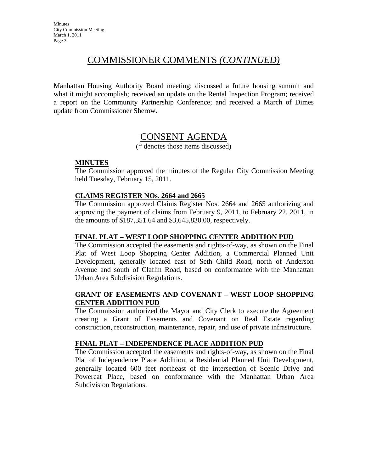### COMMISSIONER COMMENTS *(CONTINUED)*

Manhattan Housing Authority Board meeting; discussed a future housing summit and what it might accomplish; received an update on the Rental Inspection Program; received a report on the Community Partnership Conference; and received a March of Dimes update from Commissioner Sherow.

### CONSENT AGENDA

(\* denotes those items discussed)

#### **MINUTES**

The Commission approved the minutes of the Regular City Commission Meeting held Tuesday, February 15, 2011.

#### **CLAIMS REGISTER NOs. 2664 and 2665**

The Commission approved Claims Register Nos. 2664 and 2665 authorizing and approving the payment of claims from February 9, 2011, to February 22, 2011, in the amounts of \$187,351.64 and \$3,645,830.00, respectively.

#### **FINAL PLAT – WEST LOOP SHOPPING CENTER ADDITION PUD**

The Commission accepted the easements and rights-of-way, as shown on the Final Plat of West Loop Shopping Center Addition, a Commercial Planned Unit Development, generally located east of Seth Child Road, north of Anderson Avenue and south of Claflin Road, based on conformance with the Manhattan Urban Area Subdivision Regulations.

#### **GRANT OF EASEMENTS AND COVENANT – WEST LOOP SHOPPING CENTER ADDITION PUD**

The Commission authorized the Mayor and City Clerk to execute the Agreement creating a Grant of Easements and Covenant on Real Estate regarding construction, reconstruction, maintenance, repair, and use of private infrastructure.

#### **FINAL PLAT – INDEPENDENCE PLACE ADDITION PUD**

The Commission accepted the easements and rights-of-way, as shown on the Final Plat of Independence Place Addition, a Residential Planned Unit Development, generally located 600 feet northeast of the intersection of Scenic Drive and Powercat Place, based on conformance with the Manhattan Urban Area Subdivision Regulations.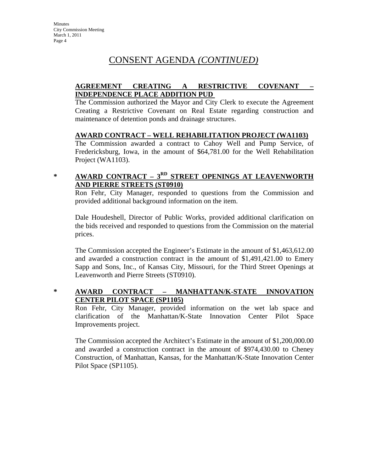# CONSENT AGENDA *(CONTINUED)*

### **AGREEMENT CREATING A RESTRICTIVE COVENANT – INDEPENDENCE PLACE ADDITION PUD**

The Commission authorized the Mayor and City Clerk to execute the Agreement Creating a Restrictive Covenant on Real Estate regarding construction and maintenance of detention ponds and drainage structures.

### **AWARD CONTRACT – WELL REHABILITATION PROJECT (WA1103)**

The Commission awarded a contract to Cahoy Well and Pump Service, of Fredericksburg, Iowa, in the amount of \$64,781.00 for the Well Rehabilitation Project (WA1103).

### **\* AWARD CONTRACT – 3RD STREET OPENINGS AT LEAVENWORTH AND PIERRE STREETS (ST0910)**

Ron Fehr, City Manager, responded to questions from the Commission and provided additional background information on the item.

Dale Houdeshell, Director of Public Works, provided additional clarification on the bids received and responded to questions from the Commission on the material prices.

The Commission accepted the Engineer's Estimate in the amount of \$1,463,612.00 and awarded a construction contract in the amount of \$1,491,421.00 to Emery Sapp and Sons, Inc., of Kansas City, Missouri, for the Third Street Openings at Leavenworth and Pierre Streets (ST0910).

### **\* AWARD CONTRACT – MANHATTAN/K-STATE INNOVATION CENTER PILOT SPACE (SP1105)**

Ron Fehr, City Manager, provided information on the wet lab space and clarification of the Manhattan/K-State Innovation Center Pilot Space Improvements project.

The Commission accepted the Architect's Estimate in the amount of \$1,200,000.00 and awarded a construction contract in the amount of \$974,430.00 to Cheney Construction, of Manhattan, Kansas, for the Manhattan/K-State Innovation Center Pilot Space (SP1105).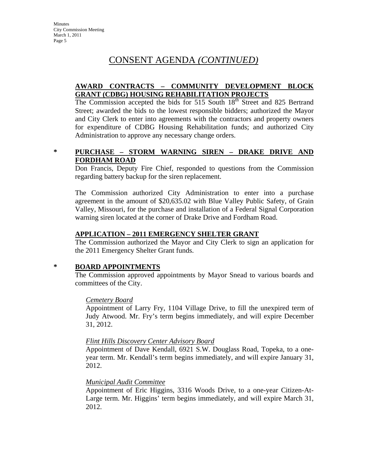### CONSENT AGENDA *(CONTINUED)*

#### **AWARD CONTRACTS – COMMUNITY DEVELOPMENT BLOCK GRANT (CDBG) HOUSING REHABILITATION PROJECTS**

The Commission accepted the bids for 515 South 18<sup>th</sup> Street and 825 Bertrand Street; awarded the bids to the lowest responsible bidders; authorized the Mayor and City Clerk to enter into agreements with the contractors and property owners for expenditure of CDBG Housing Rehabilitation funds; and authorized City Administration to approve any necessary change orders.

### **\* PURCHASE – STORM WARNING SIREN – DRAKE DRIVE AND FORDHAM ROAD**

Don Francis, Deputy Fire Chief, responded to questions from the Commission regarding battery backup for the siren replacement.

The Commission authorized City Administration to enter into a purchase agreement in the amount of \$20,635.02 with Blue Valley Public Safety, of Grain Valley, Missouri, for the purchase and installation of a Federal Signal Corporation warning siren located at the corner of Drake Drive and Fordham Road.

### **APPLICATION – 2011 EMERGENCY SHELTER GRANT**

The Commission authorized the Mayor and City Clerk to sign an application for the 2011 Emergency Shelter Grant funds.

### **\* BOARD APPOINTMENTS**

The Commission approved appointments by Mayor Snead to various boards and committees of the City.

### *Cemetery Board*

Appointment of Larry Fry, 1104 Village Drive, to fill the unexpired term of Judy Atwood. Mr. Fry's term begins immediately, and will expire December 31, 2012.

### *Flint Hills Discovery Center Advisory Board*

Appointment of Dave Kendall, 6921 S.W. Douglass Road, Topeka, to a oneyear term. Mr. Kendall's term begins immediately, and will expire January 31, 2012.

### *Municipal Audit Committee*

Appointment of Eric Higgins, 3316 Woods Drive, to a one-year Citizen-At-Large term. Mr. Higgins' term begins immediately, and will expire March 31, 2012.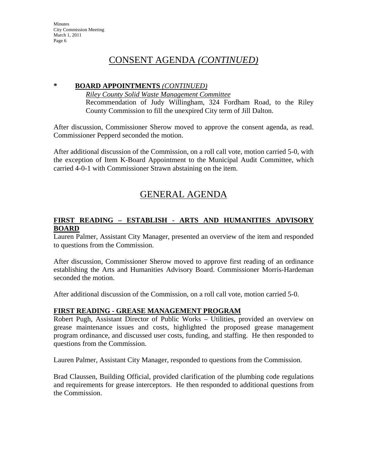### CONSENT AGENDA *(CONTINUED)*

#### **\* BOARD APPOINTMENTS** *(CONTINUED)*

*Riley County Solid Waste Management Committee* Recommendation of Judy Willingham, 324 Fordham Road, to the Riley County Commission to fill the unexpired City term of Jill Dalton.

After discussion, Commissioner Sherow moved to approve the consent agenda, as read. Commissioner Pepperd seconded the motion.

After additional discussion of the Commission, on a roll call vote, motion carried 5-0, with the exception of Item K-Board Appointment to the Municipal Audit Committee, which carried 4-0-1 with Commissioner Strawn abstaining on the item.

# GENERAL AGENDA

### **FIRST READING – ESTABLISH - ARTS AND HUMANITIES ADVISORY BOARD**

Lauren Palmer, Assistant City Manager, presented an overview of the item and responded to questions from the Commission.

After discussion, Commissioner Sherow moved to approve first reading of an ordinance establishing the Arts and Humanities Advisory Board. Commissioner Morris-Hardeman seconded the motion.

After additional discussion of the Commission, on a roll call vote, motion carried 5-0.

### **FIRST READING - GREASE MANAGEMENT PROGRAM**

Robert Pugh, Assistant Director of Public Works – Utilities, provided an overview on grease maintenance issues and costs, highlighted the proposed grease management program ordinance, and discussed user costs, funding, and staffing. He then responded to questions from the Commission.

Lauren Palmer, Assistant City Manager, responded to questions from the Commission.

Brad Claussen, Building Official, provided clarification of the plumbing code regulations and requirements for grease interceptors. He then responded to additional questions from the Commission.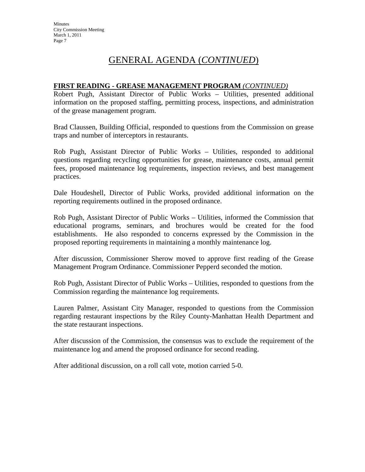# GENERAL AGENDA (*CONTINUED*)

#### **FIRST READING - GREASE MANAGEMENT PROGRAM** *(CONTINUED)*

Robert Pugh, Assistant Director of Public Works – Utilities, presented additional information on the proposed staffing, permitting process, inspections, and administration of the grease management program.

Brad Claussen, Building Official, responded to questions from the Commission on grease traps and number of interceptors in restaurants.

Rob Pugh, Assistant Director of Public Works – Utilities, responded to additional questions regarding recycling opportunities for grease, maintenance costs, annual permit fees, proposed maintenance log requirements, inspection reviews, and best management practices.

Dale Houdeshell, Director of Public Works, provided additional information on the reporting requirements outlined in the proposed ordinance.

Rob Pugh, Assistant Director of Public Works – Utilities, informed the Commission that educational programs, seminars, and brochures would be created for the food establishments. He also responded to concerns expressed by the Commission in the proposed reporting requirements in maintaining a monthly maintenance log.

After discussion, Commissioner Sherow moved to approve first reading of the Grease Management Program Ordinance. Commissioner Pepperd seconded the motion.

Rob Pugh, Assistant Director of Public Works – Utilities, responded to questions from the Commission regarding the maintenance log requirements.

Lauren Palmer, Assistant City Manager, responded to questions from the Commission regarding restaurant inspections by the Riley County-Manhattan Health Department and the state restaurant inspections.

After discussion of the Commission, the consensus was to exclude the requirement of the maintenance log and amend the proposed ordinance for second reading.

After additional discussion, on a roll call vote, motion carried 5-0.